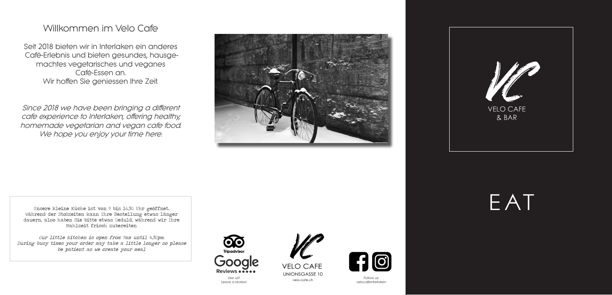# EAT

Follow us: velocafeinterlaken



Like us? Leave a review!





#### Willkommen im Velo Cafe

Since 2018 we have been bringing a different cafe experience to Interlaken, offering healthy, homemade vegetarian and vegan cafe food. We hope you enjoy your time here.



Seit 2018 bieten wir in Interlaken ein anderes Café-Erlebnis und bieten gesundes, hausgemachtes vegetarisches und veganes Café-Essen an. Wir hoffen Sie geniessen Ihre Zeit.

Unsere kleine Küche ist von 9 bis 16.30 Uhr geöffnet. Während der Stoßzeiten kann Ihre Bestellung etwas länger dauern, also haben Sie bitte etwas Geduld, während wir Ihre Mahlzeit frisch zubereiten

Our little kitchen is open from 9am until 4.30pm. During busy times your order may take a little longer so please be patient as we create your meal